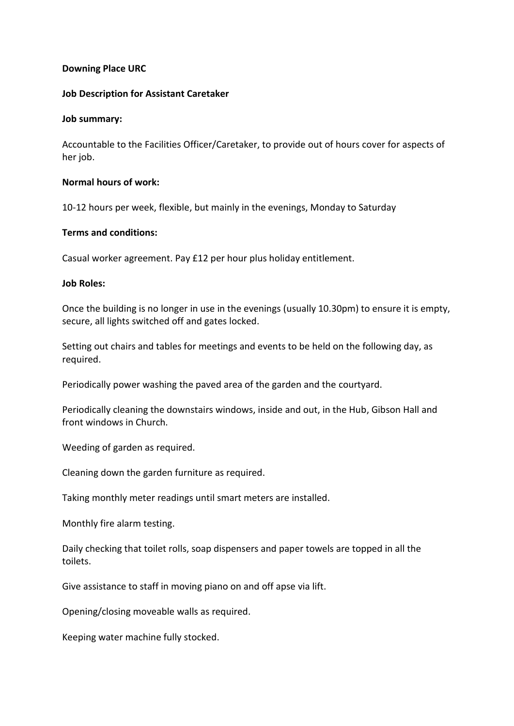## **Downing Place URC**

## **Job Description for Assistant Caretaker**

### **Job summary:**

Accountable to the Facilities Officer/Caretaker, to provide out of hours cover for aspects of her job.

### **Normal hours of work:**

10-12 hours per week, flexible, but mainly in the evenings, Monday to Saturday

# **Terms and conditions:**

Casual worker agreement. Pay £12 per hour plus holiday entitlement.

### **Job Roles:**

Once the building is no longer in use in the evenings (usually 10.30pm) to ensure it is empty, secure, all lights switched off and gates locked.

Setting out chairs and tables for meetings and events to be held on the following day, as required.

Periodically power washing the paved area of the garden and the courtyard.

Periodically cleaning the downstairs windows, inside and out, in the Hub, Gibson Hall and front windows in Church.

Weeding of garden as required.

Cleaning down the garden furniture as required.

Taking monthly meter readings until smart meters are installed.

Monthly fire alarm testing.

Daily checking that toilet rolls, soap dispensers and paper towels are topped in all the toilets.

Give assistance to staff in moving piano on and off apse via lift.

Opening/closing moveable walls as required.

Keeping water machine fully stocked.